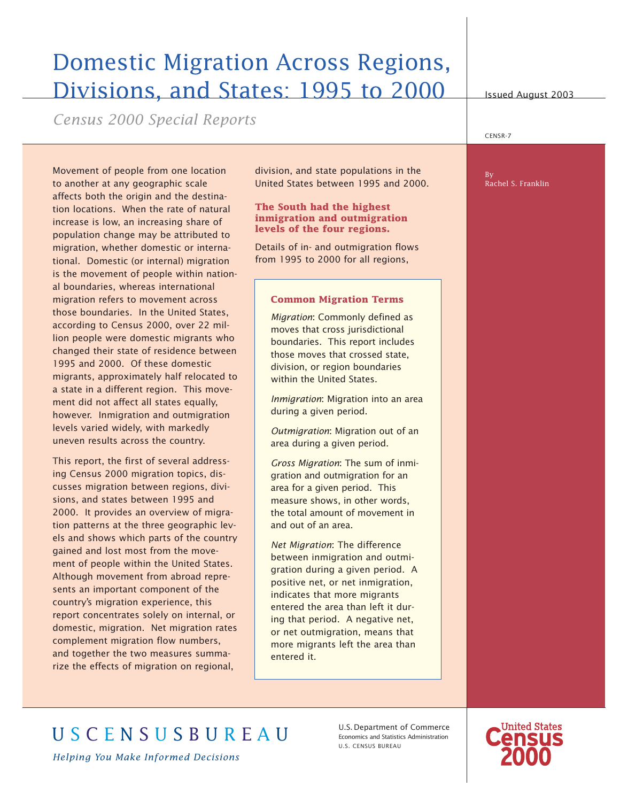# Domestic Migration Across Regions, Divisions, and States: 1995 to 2000

*Census 2000 Special Reports*

Movement of people from one location to another at any geographic scale affects both the origin and the destination locations. When the rate of natural increase is low, an increasing share of population change may be attributed to migration, whether domestic or international. Domestic (or internal) migration is the movement of people within national boundaries, whereas international migration refers to movement across those boundaries. In the United States, according to Census 2000, over 22 million people were domestic migrants who changed their state of residence between 1995 and 2000. Of these domestic migrants, approximately half relocated to a state in a different region. This movement did not affect all states equally, however. Inmigration and outmigration levels varied widely, with markedly uneven results across the country.

This report, the first of several addressing Census 2000 migration topics, discusses migration between regions, divisions, and states between 1995 and 2000. It provides an overview of migration patterns at the three geographic levels and shows which parts of the country gained and lost most from the movement of people within the United States. Although movement from abroad represents an important component of the country's migration experience, this report concentrates solely on internal, or domestic, migration. Net migration rates complement migration flow numbers, and together the two measures summarize the effects of migration on regional,

division, and state populations in the United States between 1995 and 2000.

#### **The South had the highest inmigration and outmigration levels of the four regions.**

Details of in- and outmigration flows from 1995 to 2000 for all regions,

#### **Common Migration Terms**

*Migration*: Commonly defined as moves that cross jurisdictional boundaries. This report includes those moves that crossed state, division, or region boundaries within the United States.

*Inmigration*: Migration into an area during a given period.

*Outmigration*: Migration out of an area during a given period.

*Gross Migration*: The sum of inmigration and outmigration for an area for a given period. This measure shows, in other words, the total amount of movement in and out of an area.

*Net Migration*: The difference between inmigration and outmigration during a given period. A positive net, or net inmigration, indicates that more migrants entered the area than left it during that period. A negative net, or net outmigration, means that more migrants left the area than entered it.

U.S. CENSUS BUREAU

U.S.Department of Commerce Economics and Statistics Administration



Issued August 2003

CENSR-7

#### By Rachel S. Franklin

*Helping You Make Informed Decisions*

U S C E N S U S B U R E A U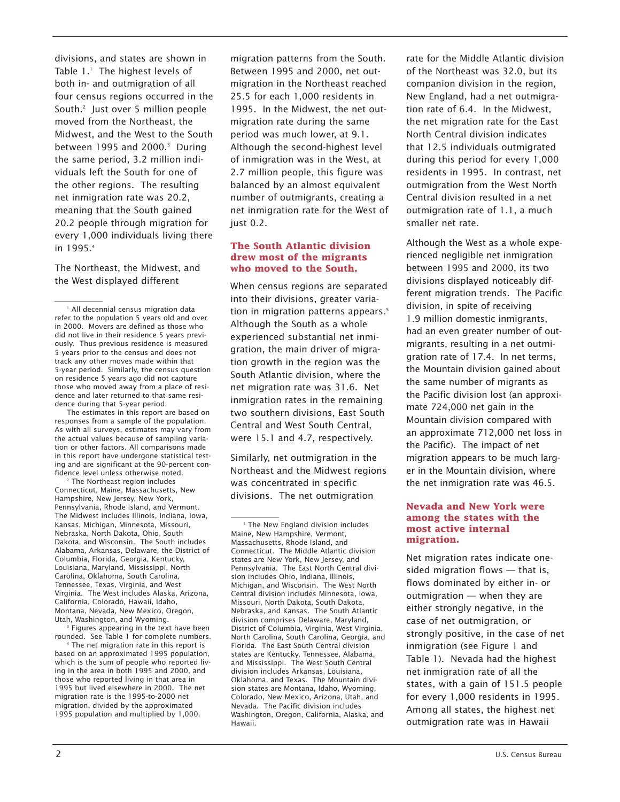divisions, and states are shown in Table 1.<sup>1</sup> The highest levels of both in- and outmigration of all four census regions occurred in the South.2 Just over 5 million people moved from the Northeast, the Midwest, and the West to the South between 1995 and 2000.<sup>3</sup> During the same period, 3.2 million individuals left the South for one of the other regions. The resulting net inmigration rate was 20.2, meaning that the South gained 20.2 people through migration for every 1,000 individuals living there in 1995.4

The Northeast, the Midwest, and the West displayed different

The estimates in this report are based on responses from a sample of the population. As with all surveys, estimates may vary from the actual values because of sampling variation or other factors. All comparisons made in this report have undergone statistical testing and are significant at the 90-percent confidence level unless otherwise noted.

<sup>2</sup> The Northeast region includes Connecticut, Maine, Massachusetts, New Hampshire, New Jersey, New York, Pennsylvania, Rhode Island, and Vermont. The Midwest includes Illinois, Indiana, Iowa, Kansas, Michigan, Minnesota, Missouri, Nebraska, North Dakota, Ohio, South Dakota, and Wisconsin. The South includes Alabama, Arkansas, Delaware, the District of Columbia, Florida, Georgia, Kentucky, Louisiana, Maryland, Mississippi, North Carolina, Oklahoma, South Carolina, Tennessee, Texas, Virginia, and West Virginia. The West includes Alaska, Arizona, California, Colorado, Hawaii, Idaho, Montana, Nevada, New Mexico, Oregon, Utah, Washington, and Wyoming.

<sup>3</sup> Figures appearing in the text have been rounded. See Table 1 for complete numbers.

<sup>4</sup> The net migration rate in this report is based on an approximated 1995 population, which is the sum of people who reported living in the area in both 1995 and 2000, and those who reported living in that area in 1995 but lived elsewhere in 2000. The net migration rate is the 1995-to-2000 net migration, divided by the approximated 1995 population and multiplied by 1,000.

migration patterns from the South. Between 1995 and 2000, net outmigration in the Northeast reached 25.5 for each 1,000 residents in 1995. In the Midwest, the net outmigration rate during the same period was much lower, at 9.1. Although the second-highest level of inmigration was in the West, at 2.7 million people, this figure was balanced by an almost equivalent number of outmigrants, creating a net inmigration rate for the West of just 0.2.

#### **The South Atlantic division drew most of the migrants who moved to the South.**

When census regions are separated into their divisions, greater variation in migration patterns appears.<sup>5</sup> Although the South as a whole experienced substantial net inmigration, the main driver of migration growth in the region was the South Atlantic division, where the net migration rate was 31.6. Net inmigration rates in the remaining two southern divisions, East South Central and West South Central, were 15.1 and 4.7, respectively.

Similarly, net outmigration in the Northeast and the Midwest regions was concentrated in specific divisions. The net outmigration

rate for the Middle Atlantic division of the Northeast was 32.0, but its companion division in the region, New England, had a net outmigration rate of 6.4. In the Midwest, the net migration rate for the East North Central division indicates that 12.5 individuals outmigrated during this period for every 1,000 residents in 1995. In contrast, net outmigration from the West North Central division resulted in a net outmigration rate of 1.1, a much smaller net rate.

Although the West as a whole experienced negligible net inmigration between 1995 and 2000, its two divisions displayed noticeably different migration trends. The Pacific division, in spite of receiving 1.9 million domestic inmigrants, had an even greater number of outmigrants, resulting in a net outmigration rate of 17.4. In net terms, the Mountain division gained about the same number of migrants as the Pacific division lost (an approximate 724,000 net gain in the Mountain division compared with an approximate 712,000 net loss in the Pacific). The impact of net migration appears to be much larger in the Mountain division, where the net inmigration rate was 46.5.

### **Nevada and New York were among the states with the most active internal migration.**

Net migration rates indicate onesided migration flows — that is, flows dominated by either in- or outmigration — when they are either strongly negative, in the case of net outmigration, or strongly positive, in the case of net inmigration (see Figure 1 and Table 1). Nevada had the highest net inmigration rate of all the states, with a gain of 151.5 people for every 1,000 residents in 1995. Among all states, the highest net outmigration rate was in Hawaii

<sup>&</sup>lt;sup>1</sup> All decennial census migration data refer to the population 5 years old and over in 2000. Movers are defined as those who did not live in their residence 5 years previously. Thus previous residence is measured 5 years prior to the census and does not track any other moves made within that 5-year period. Similarly, the census question on residence 5 years ago did not capture those who moved away from a place of residence and later returned to that same residence during that 5-year period.

<sup>&</sup>lt;sup>5</sup> The New England division includes Maine, New Hampshire, Vermont, Massachusetts, Rhode Island, and Connecticut. The Middle Atlantic division states are New York, New Jersey, and Pennsylvania. The East North Central division includes Ohio, Indiana, Illinois, Michigan, and Wisconsin. The West North Central division includes Minnesota, Iowa, Missouri, North Dakota, South Dakota, Nebraska, and Kansas. The South Atlantic division comprises Delaware, Maryland, District of Columbia, Virginia, West Virginia, North Carolina, South Carolina, Georgia, and Florida. The East South Central division states are Kentucky, Tennessee, Alabama, and Mississippi. The West South Central division includes Arkansas, Louisiana, Oklahoma, and Texas. The Mountain division states are Montana, Idaho, Wyoming, Colorado, New Mexico, Arizona, Utah, and Nevada. The Pacific division includes Washington, Oregon, California, Alaska, and Hawaii.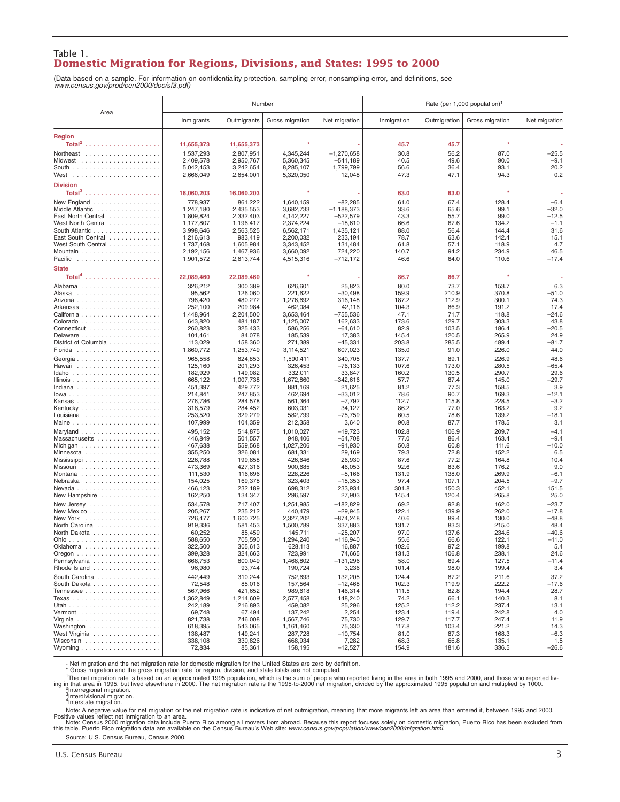#### Table 1. **Domestic Migration for Regions, Divisions, and States: 1995 to 2000**

(Data based on a sample. For information on confidentiality protection, sampling error, nonsampling error, and definitions, see *www.census.gov/prod/cen2000/doc/sf3.pdf)*

|                      | Number                 |                        |                        |                      | Rate (per 1,000 population) <sup>1</sup> |                |                 |                 |
|----------------------|------------------------|------------------------|------------------------|----------------------|------------------------------------------|----------------|-----------------|-----------------|
| Area                 | Inmigrants             | Outmigrants            | Gross migration        | Net migration        | Inmigration                              | Outmigration   | Gross migration | Net migration   |
| <b>Region</b>        |                        |                        |                        |                      |                                          |                |                 |                 |
|                      | 11,655,373             | 11,655,373             |                        |                      | 45.7                                     | 45.7           |                 |                 |
| Northeast            | 1,537,293              | 2,807,951              | 4,345,244              | $-1,270,658$         | 30.8                                     | 56.2           | 87.0            | $-25.5$         |
|                      | 2.409.578              | 2,950,767              | 5,360,345              | $-541,189$           | 40.5                                     | 49.6           | 90.0            | $-9.1$          |
|                      | 5,042,453              | 3,242,654              | 8,285,107              | 1,799,799            | 56.6                                     | 36.4           | 93.1            | 20.2            |
|                      | 2,666,049              | 2,654,001              | 5,320,050              | 12,048               | 47.3                                     | 47.1           | 94.3            | 0.2             |
| <b>Division</b>      |                        |                        |                        |                      |                                          |                |                 |                 |
|                      | 16,060,203             | 16,060,203             |                        |                      | 63.0                                     | 63.0           |                 |                 |
| New England          | 778,937                | 861,222                | 1,640,159              | $-82,285$            | 61.0                                     | 67.4           | 128.4           | $-6.4$          |
| Middle Atlantic      | 1,247,180              | 2,435,553              | 3.682.733              | $-1,188,373$         | 33.6                                     | 65.6           | 99.1            | $-32.0$         |
| East North Central   | 1,809,824              | 2,332,403              | 4,142,227              | $-522,579$           | 43.3                                     | 55.7           | 99.0            | $-12.5$         |
| West North Central   | 1,177,807              | 1,196,417              | 2,374,224              | $-18,610$            | 66.6                                     | 67.6           | 134.2           | $-1.1$          |
| South Atlantic       | 3,998,646              | 2,563,525              | 6,562,171              | 1.435.121            | 88.0                                     | 56.4           | 144.4           | 31.6            |
| East South Central   | 1,216,613              | 983,419                | 2,200,032              | 233,194              | 78.7                                     | 63.6           | 142.4           | 15.1            |
| West South Central   | 1,737,468<br>2,192,156 | 1,605,984<br>1,467,936 | 3,343,452<br>3,660,092 | 131,484<br>724,220   | 61.8<br>140.7                            | 57.1<br>94.2   | 118.9<br>234.9  | 4.7<br>46.5     |
|                      | 1,901,572              | 2,613,744              | 4,515,316              | $-712,172$           | 46.6                                     | 64.0           | 110.6           | $-17.4$         |
| <b>State</b>         |                        |                        |                        |                      |                                          |                |                 |                 |
|                      | 22,089,460             | 22,089,460             |                        |                      | 86.7                                     | 86.7           |                 |                 |
|                      | 326,212                | 300,389                | 626,601                | 25,823               | 80.0                                     | 73.7           | 153.7           | 6.3             |
|                      | 95,562                 | 126,060                | 221,622                | $-30,498$            | 159.9                                    | 210.9          | 370.8           | $-51.0$         |
|                      | 796,420                | 480,272                | 1,276,692              | 316,148              | 187.2                                    | 112.9          | 300.1           | 74.3            |
|                      | 252,100                | 209,984                | 462,084                | 42,116               | 104.3                                    | 86.9           | 191.2           | 17.4            |
|                      | 1,448,964              | 2.204.500              | 3.653.464              | $-755,536$           | 47.1                                     | 71.7           | 118.8           | $-24.6$         |
|                      | 643,820                | 481,187                | 1,125,007              | 162,633              | 173.6                                    | 129.7          | 303.3           | 43.8            |
| Connecticut          | 260,823<br>101,461     | 325,433<br>84,078      | 586,256<br>185,539     | $-64,610$<br>17,383  | 82.9<br>145.4                            | 103.5<br>120.5 | 186.4<br>265.9  | $-20.5$<br>24.9 |
| District of Columbia | 113,029                | 158,360                | 271,389                | $-45,331$            | 203.8                                    | 285.5          | 489.4           | $-81.7$         |
|                      | 1,860,772              | 1,253,749              | 3,114,521              | 607,023              | 135.0                                    | 91.0           | 226.0           | 44.0            |
|                      | 965,558                | 624,853                | 1,590,411              | 340,705              | 137.7                                    | 89.1           | 226.9           | 48.6            |
| Hawaii               | 125,160                | 201,293                | 326,453                | $-76, 133$           | 107.6                                    | 173.0          | 280.5           | $-65.4$         |
|                      | 182.929                | 149,082                | 332,011                | 33,847               | 160.2                                    | 130.5          | 290.7           | 29.6            |
|                      | 665,122                | 1,007,738              | 1,672,860              | $-342,616$           | 57.7                                     | 87.4           | 145.0           | $-29.7$         |
|                      | 451,397<br>214,841     | 429,772<br>247,853     | 881,169<br>462,694     | 21,625<br>$-33,012$  | 81.2<br>78.6                             | 77.3<br>90.7   | 158.5<br>169.3  | 3.9<br>$-12.1$  |
|                      | 276,786                | 284,578                | 561,364                | $-7,792$             | 112.7                                    | 115.8          | 228.5           | $-3.2$          |
|                      | 318,579                | 284,452                | 603,031                | 34,127               | 86.2                                     | 77.0           | 163.2           | 9.2             |
| Louisiana            | 253,520                | 329,279                | 582,799                | $-75,759$            | 60.5                                     | 78.6           | 139.2           | $-18.1$         |
| Maine                | 107,999                | 104,359                | 212,358                | 3,640                | 90.8                                     | 87.7           | 178.5           | 3.1             |
|                      | 495,152                | 514,875                | 1,010,027              | $-19,723$            | 102.8                                    | 106.9          | 209.7           | $-4.1$          |
| Massachusetts        | 446,849                | 501,557                | 948,406                | $-54,708$            | 77.0                                     | 86.4           | 163.4           | $-9.4$          |
|                      | 467,638<br>355,250     | 559,568<br>326,081     | 1,027,206<br>681,331   | $-91,930$<br>29,169  | 50.8<br>79.3                             | 60.8<br>72.8   | 111.6<br>152.2  | $-10.0$<br>6.5  |
|                      | 226,788                | 199,858                | 426,646                | 26,930               | 87.6                                     | 77.2           | 164.8           | 10.4            |
|                      | 473,369                | 427,316                | 900,685                | 46,053               | 92.6                                     | 83.6           | 176.2           | 9.0             |
|                      | 111,530                | 116,696                | 228,226                | $-5,166$             | 131.9                                    | 138.0          | 269.9           | $-6.1$          |
|                      | 154,025                | 169,378                | 323,403                | $-15,353$            | 97.4                                     | 107.1          | 204.5           | $-9.7$          |
| New Hampshire        | 466,123<br>162,250     | 232,189<br>134,347     | 698,312<br>296,597     | 233,934<br>27,903    | 301.8<br>145.4                           | 150.3<br>120.4 | 452.1<br>265.8  | 151.5<br>25.0   |
| New Jersey           | 534,578                | 717,407                | 1,251,985              | $-182,829$           | 69.2                                     | 92.8           | 162.0           | $-23.7$         |
| New Mexico           | 205,267                | 235,212                | 440,479                | $-29,945$            | 122.1                                    | 139.9          | 262.0           | $-17.8$         |
|                      | 726,477                | 1,600,725              | 2,327,202              | $-874,248$           | 40.6                                     | 89.4           | 130.0           | $-48.8$         |
| North Carolina       | 919,336                | 581.453                | 1,500,789              | 337,883              | 131.7                                    | 83.3           | 215.0           | 48.4            |
| North Dakota         | 60,252                 | 85,459                 | 145,711                | $-25,207$            | 97.0                                     | 137.6          | 234.6           | $-40.6$         |
| Oklahoma             | 588,650<br>322,500     | 705,590<br>305,613     | 1,294,240<br>628,113   | $-116,940$<br>16,887 | 55.6<br>102.6                            | 66.6<br>97.2   | 122.1<br>199.8  | $-11.0$<br>5.4  |
| .                    | 399,328                | 324,663                | 723,991                | 74,665               | 131.3                                    | 106.8          | 238.1           | 24.6            |
| Pennsylvania         | 668,753                | 800,049                | 1,468,802              | $-131,296$           | 58.0                                     | 69.4           | 127.5           | $-11.4$         |
| Rhode Island         | 96,980                 | 93,744                 | 190,724                | 3,236                | 101.4                                    | 98.0           | 199.4           | 3.4             |
| South Carolina       | 442,449                | 310,244                | 752,693                | 132,205              | 124.4                                    | 87.2           | 211.6           | 37.2            |
| South Dakota         | 72,548                 | 85,016                 | 157,564                | $-12,468$            | 102.3                                    | 119.9          | 222.2           | $-17.6$         |
|                      | 567,966                | 421,652                | 989,618                | 146,314              | 111.5                                    | 82.8           | 194.4           | 28.7            |
|                      | 1,362,849<br>242,189   | 1,214,609<br>216,893   | 2,577,458<br>459,082   | 148.240<br>25,296    | 74.2<br>125.2                            | 66.1<br>112.2  | 140.3<br>237.4  | 8.1<br>13.1     |
|                      | 69,748                 | 67,494                 | 137,242                | 2,254                | 123.4                                    | 119.4          | 242.8           | 4.0             |
|                      | 821,738                | 746,008                | 1,567,746              | 75,730               | 129.7                                    | 117.7          | 247.4           | 11.9            |
| Washington           | 618,395                | 543,065                | 1,161,460              | 75,330               | 117.8                                    | 103.4          | 221.2           | 14.3            |
| West Virginia        | 138,487                | 149,241                | 287,728                | $-10,754$            | 81.0                                     | 87.3           | 168.3           | $-6.3$          |
|                      | 338,108                | 330,826                | 668,934                | 7,282                | 68.3                                     | 66.8           | 135.1           | 1.5             |
|                      | 72,834                 | 85,361                 | 158,195                | $-12,527$            | 154.9                                    | 181.6          | 336.5           | $-26.6$         |

- Net migration and the net migration rate for domestic migration for the United States are zero by definition. \* Gross migration and the gross migration rate for region, division, and state totals are not computed.

The net migration rate is based on an approximated 1995 population, which is the sum of people who reported living in the area in both 1995 and 2000, and those who reported living in the treating in the area in both 1995 a

Note: A negative value for net migration or the net migration rate is indicative of net outmigration, meaning that more migrants left an area than entered it, between 1995 and 2000.<br>Positive values reflect net inmigration

Source: U.S. Census Bureau, Census 2000.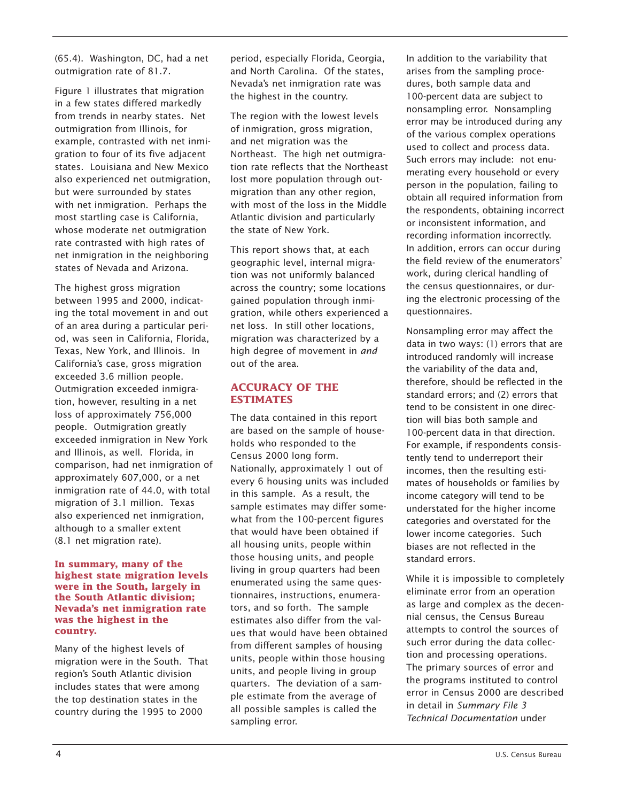(65.4). Washington, DC, had a net outmigration rate of 81.7.

Figure 1 illustrates that migration in a few states differed markedly from trends in nearby states. Net outmigration from Illinois, for example, contrasted with net inmigration to four of its five adjacent states. Louisiana and New Mexico also experienced net outmigration, but were surrounded by states with net inmigration. Perhaps the most startling case is California, whose moderate net outmigration rate contrasted with high rates of net inmigration in the neighboring states of Nevada and Arizona.

The highest gross migration between 1995 and 2000, indicating the total movement in and out of an area during a particular period, was seen in California, Florida, Texas, New York, and Illinois. In California's case, gross migration exceeded 3.6 million people. Outmigration exceeded inmigration, however, resulting in a net loss of approximately 756,000 people. Outmigration greatly exceeded inmigration in New York and Illinois, as well. Florida, in comparison, had net inmigration of approximately 607,000, or a net inmigration rate of 44.0, with total migration of 3.1 million. Texas also experienced net inmigration, although to a smaller extent (8.1 net migration rate).

#### **In summary, many of the highest state migration levels were in the South, largely in the South Atlantic division; Nevada's net inmigration rate was the highest in the country.**

Many of the highest levels of migration were in the South. That region's South Atlantic division includes states that were among the top destination states in the country during the 1995 to 2000

period, especially Florida, Georgia, and North Carolina. Of the states, Nevada's net inmigration rate was the highest in the country.

The region with the lowest levels of inmigration, gross migration, and net migration was the Northeast. The high net outmigration rate reflects that the Northeast lost more population through outmigration than any other region, with most of the loss in the Middle Atlantic division and particularly the state of New York.

This report shows that, at each geographic level, internal migration was not uniformly balanced across the country; some locations gained population through inmigration, while others experienced a net loss. In still other locations, migration was characterized by a high degree of movement in *and* out of the area.

# **ACCURACY OF THE ESTIMATES**

The data contained in this report are based on the sample of households who responded to the Census 2000 long form. Nationally, approximately 1 out of every 6 housing units was included in this sample. As a result, the sample estimates may differ somewhat from the 100-percent figures that would have been obtained if all housing units, people within those housing units, and people living in group quarters had been enumerated using the same questionnaires, instructions, enumerators, and so forth. The sample estimates also differ from the values that would have been obtained from different samples of housing units, people within those housing units, and people living in group quarters. The deviation of a sample estimate from the average of all possible samples is called the sampling error.

In addition to the variability that arises from the sampling procedures, both sample data and 100-percent data are subject to nonsampling error. Nonsampling error may be introduced during any of the various complex operations used to collect and process data. Such errors may include: not enumerating every household or every person in the population, failing to obtain all required information from the respondents, obtaining incorrect or inconsistent information, and recording information incorrectly. In addition, errors can occur during the field review of the enumerators' work, during clerical handling of the census questionnaires, or during the electronic processing of the questionnaires.

Nonsampling error may affect the data in two ways: (1) errors that are introduced randomly will increase the variability of the data and, therefore, should be reflected in the standard errors; and (2) errors that tend to be consistent in one direction will bias both sample and 100-percent data in that direction. For example, if respondents consistently tend to underreport their incomes, then the resulting estimates of households or families by income category will tend to be understated for the higher income categories and overstated for the lower income categories. Such biases are not reflected in the standard errors.

While it is impossible to completely eliminate error from an operation as large and complex as the decennial census, the Census Bureau attempts to control the sources of such error during the data collection and processing operations. The primary sources of error and the programs instituted to control error in Census 2000 are described in detail in *Summary File 3 Technical Documentation* under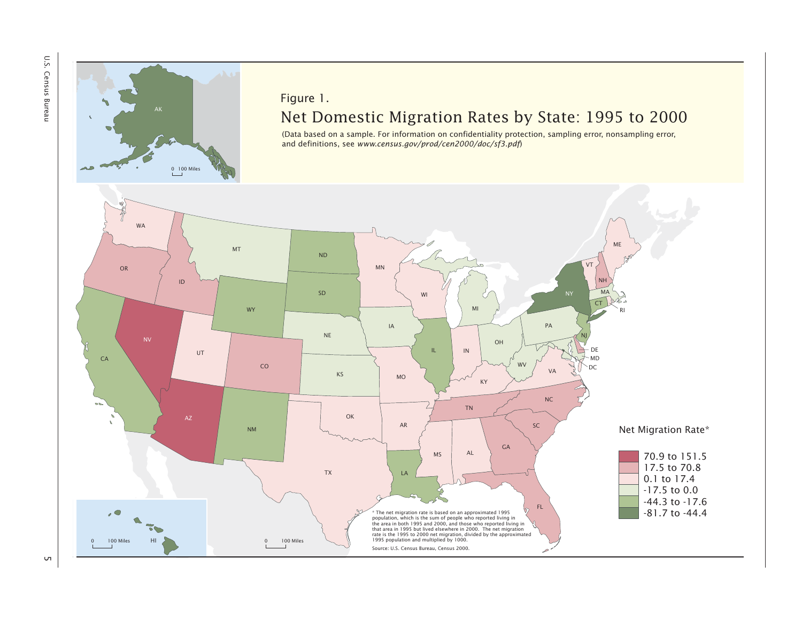